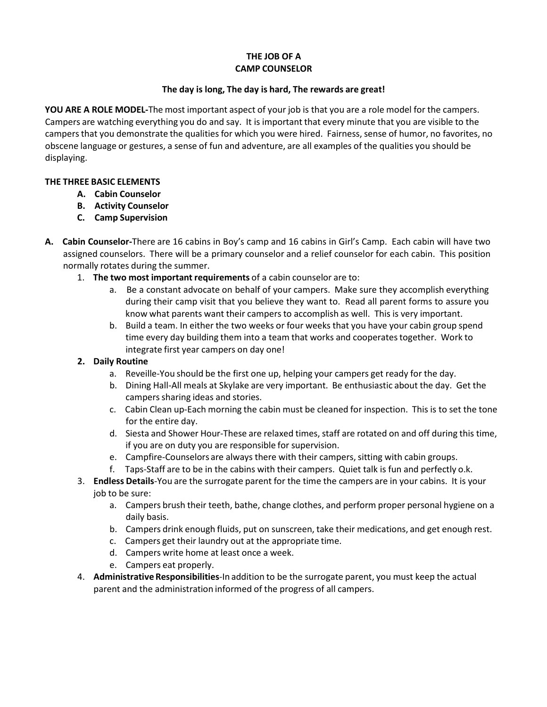# **THE JOB OF A CAMP COUNSELOR**

### **The day is long, The day is hard, The rewards are great!**

**YOU ARE A ROLE MODEL‐**The most important aspect of your job is that you are a role model for the campers. Campers are watching everything you do and say. It is important that every minute that you are visible to the campersthat you demonstrate the qualities for which you were hired. Fairness, sense of humor, no favorites, no obscene language or gestures, a sense of fun and adventure, are all examples of the qualities you should be displaying.

### **THE THREE BASIC ELEMENTS**

- **A. Cabin Counselor**
- **B. Activity Counselor**
- **C. Camp Supervision**
- **A. Cabin Counselor‐**There are 16 cabins in Boy's camp and 16 cabins in Girl's Camp. Each cabin will have two assigned counselors. There will be a primary counselor and a relief counselor for each cabin. This position normally rotates during the summer.
	- 1. **The two most important requirements** of a cabin counselor are to:
		- a. Be a constant advocate on behalf of your campers. Make sure they accomplish everything during their camp visit that you believe they want to. Read all parent forms to assure you know what parents want their campers to accomplish as well. This is very important.
		- b. Build a team. In either the two weeks or four weeks that you have your cabin group spend time every day building them into a team that works and cooperatestogether. Work to integrate first year campers on day one!

## **2. Daily Routine**

- a. Reveille‐You should be the first one up, helping your campers get ready for the day.
- b. Dining Hall‐All meals at Skylake are very important. Be enthusiastic about the day. Get the campers sharing ideas and stories.
- c. Cabin Clean up‐Each morning the cabin must be cleaned for inspection. This is to set the tone for the entire day.
- d. Siesta and Shower Hour‐These are relaxed times, staff are rotated on and off during this time, if you are on duty you are responsible for supervision.
- e. Campfire-Counselors are always there with their campers, sitting with cabin groups.
- f. Taps‐Staff are to be in the cabins with their campers. Quiet talk is fun and perfectly o.k.
- 3. **Endless Details**‐You are the surrogate parent for the time the campers are in your cabins. It is your job to be sure:
	- a. Campers brush their teeth, bathe, change clothes, and perform proper personal hygiene on a daily basis.
	- b. Campers drink enough fluids, put on sunscreen, take their medications, and get enough rest.
	- c. Campers get their laundry out at the appropriate time.
	- d. Campers write home at least once a week.
	- e. Campers eat properly.
- 4. **Administrative Responsibilities**‐In addition to be the surrogate parent, you must keep the actual parent and the administration informed of the progress of all campers.